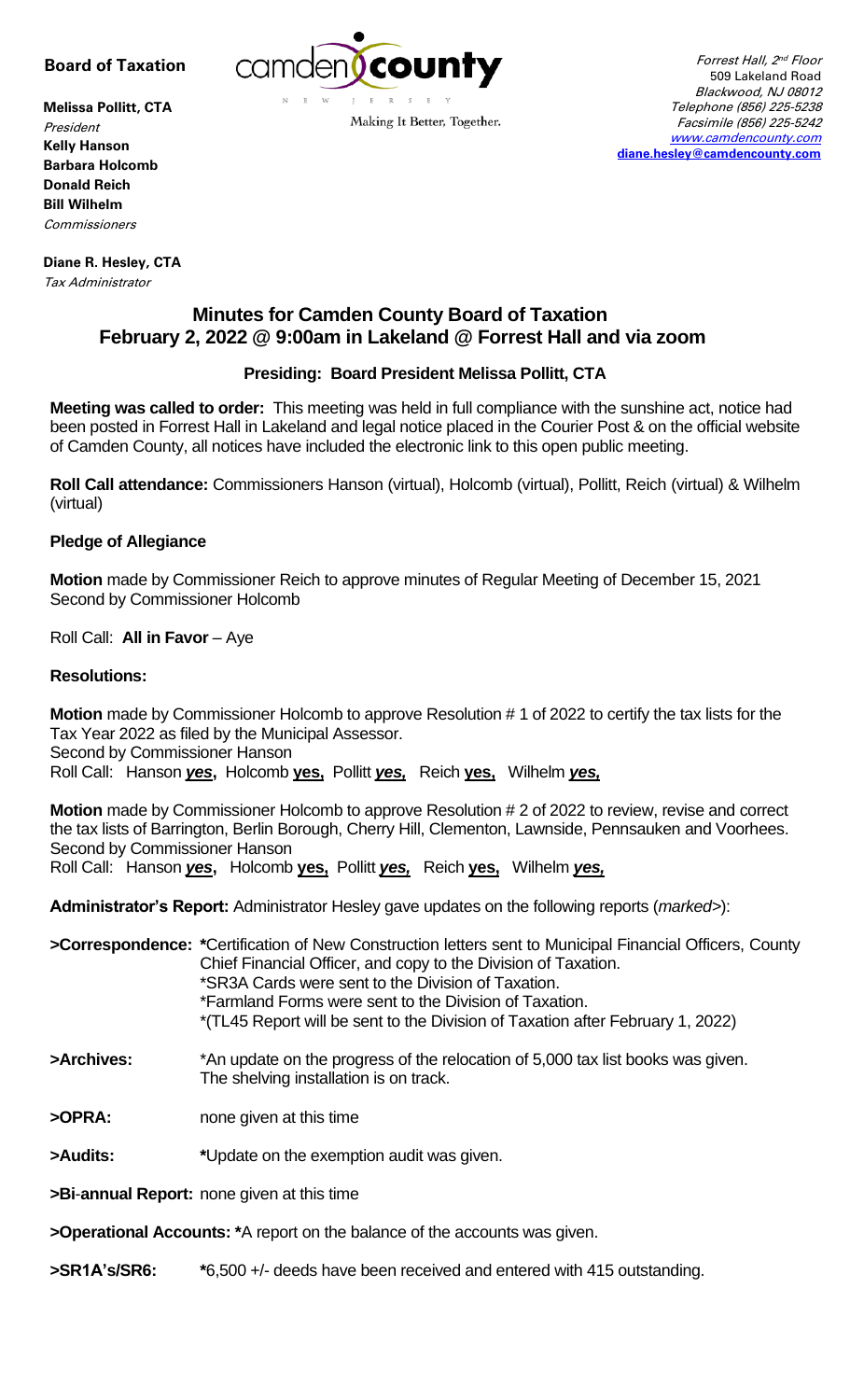**Board of Taxation**



Making It Better, Together.

Forrest Hall, 2<sup>nd</sup> Floor 509 Lakeland Road Blackwood, NJ 08012 Telephone (856) 225-5238 Facsimile (856) 225-5242 [www.camdencounty.com](http://www.camdencounty.com/) **[diane.hesley@camdencounty.com](mailto:diane.hesley@camdencounty.com)**

**Melissa Pollitt, CTA** President **Kelly Hanson Barbara Holcomb Donald Reich Bill Wilhelm** Commissioners

**Diane R. Hesley, CTA** Tax Administrator

# **Minutes for Camden County Board of Taxation February 2, 2022 @ 9:00am in Lakeland @ Forrest Hall and via zoom**

### **Presiding: Board President Melissa Pollitt, CTA**

**Meeting was called to order:** This meeting was held in full compliance with the sunshine act, notice had been posted in Forrest Hall in Lakeland and legal notice placed in the Courier Post & on the official website of Camden County, all notices have included the electronic link to this open public meeting.

**Roll Call attendance:** Commissioners Hanson (virtual), Holcomb (virtual), Pollitt, Reich (virtual) & Wilhelm (virtual)

### **Pledge of Allegiance**

**Motion** made by Commissioner Reich to approve minutes of Regular Meeting of December 15, 2021 Second by Commissioner Holcomb

Roll Call: **All in Favor** – Aye

### **Resolutions:**

**Motion** made by Commissioner Holcomb to approve Resolution # 1 of 2022 to certify the tax lists for the Tax Year 2022 as filed by the Municipal Assessor. Second by Commissioner Hanson Roll Call: Hanson *yes***,** Holcomb **yes,** Pollitt *yes,* Reich **yes,** Wilhelm *yes,* 

**Motion** made by Commissioner Holcomb to approve Resolution # 2 of 2022 to review, revise and correct the tax lists of Barrington, Berlin Borough, Cherry Hill, Clementon, Lawnside, Pennsauken and Voorhees. Second by Commissioner Hanson Roll Call: Hanson *yes***,** Holcomb **yes,** Pollitt *yes,* Reich **yes,** Wilhelm *yes,* 

**Administrator's Report:** Administrator Hesley gave updates on the following reports (*marked>*):

**>Correspondence: \***Certification of New Construction letters sent to Municipal Financial Officers, County Chief Financial Officer, and copy to the Division of Taxation. \*SR3A Cards were sent to the Division of Taxation. \*Farmland Forms were sent to the Division of Taxation. \*(TL45 Report will be sent to the Division of Taxation after February 1, 2022)

#### **>Archives:** \*An update on the progress of the relocation of 5,000 tax list books was given. The shelving installation is on track.

- **>OPRA:** none given at this time
- **>Audits: \***Update on the exemption audit was given.

**>Bi**-**annual Report:** none given at this time

- **>Operational Accounts: \***A report on the balance of the accounts was given.
- **>SR1A's/SR6: \***6,500 +/- deeds have been received and entered with 415 outstanding.